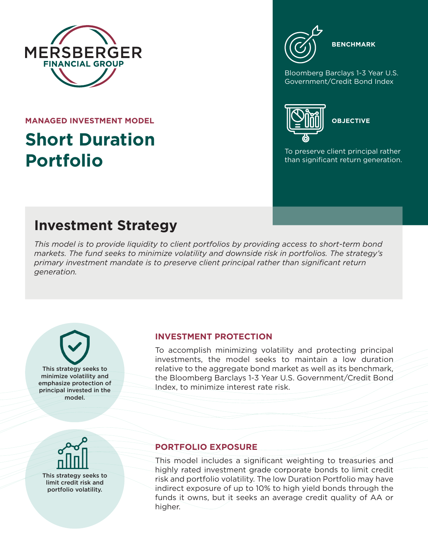

**MANAGED INVESTMENT MODEL**

# **Short Duration Portfolio**



Bloomberg Barclays 1-3 Year U.S. Government/Credit Bond Index



**OBJECTIVE**

To preserve client principal rather than significant return generation.

## **Investment Strategy**

*This model is to provide liquidity to client portfolios by providing access to short-term bond markets. The fund seeks to minimize volatility and downside risk in portfolios. The strategy's primary investment mandate is to preserve client principal rather than significant return generation.*

This strategy seeks to minimize volatility and emphasize protection of principal invested in the model.

#### **INVESTMENT PROTECTION**

To accomplish minimizing volatility and protecting principal investments, the model seeks to maintain a low duration relative to the aggregate bond market as well as its benchmark, the Bloomberg Barclays 1-3 Year U.S. Government/Credit Bond Index, to minimize interest rate risk.



#### **PORTFOLIO EXPOSURE**

This model includes a significant weighting to treasuries and highly rated investment grade corporate bonds to limit credit risk and portfolio volatility. The low Duration Portfolio may have indirect exposure of up to 10% to high yield bonds through the funds it owns, but it seeks an average credit quality of AA or higher.